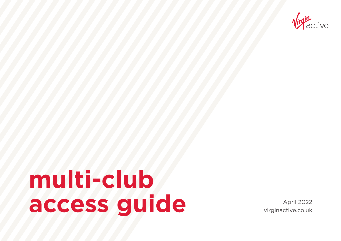

# **multi-club** access guide **April 2022**

virginactive.co.uk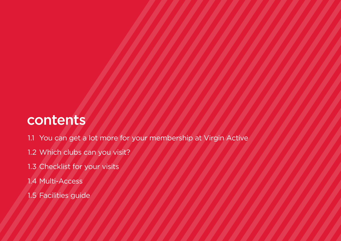#### contents

- 1.1 You can get a lot more for your membership at Virgin Active
- 1.2 Which clubs can you visit?
- 1.3 Checklist for your visits
- 1.4 Multi-Access
- 1.5 Facilities guide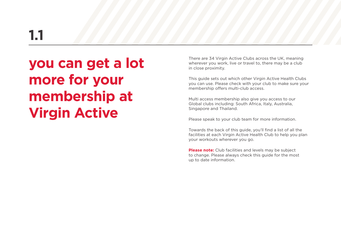### **1.1**

#### **you can get a lot more for your membership at Virgin Active**

There are 34 Virgin Active Clubs across the UK, meaning wherever you work, live or travel to, there may be a club in close proximity.

This guide sets out which other Virgin Active Health Clubs you can use. Please check with your club to make sure your membership offers multi-club access.

Multi access membership also give you access to our Global clubs including: South Africa, Italy, Australia, Singapore and Thailand.

Please speak to your club team for more information.

Towards the back of this guide, you'll find a list of all the facilities at each Virgin Active Health Club to help you plan your workouts wherever you go.

**Please note:** Club facilities and levels may be subject to change. Please always check this guide for the most up to date information.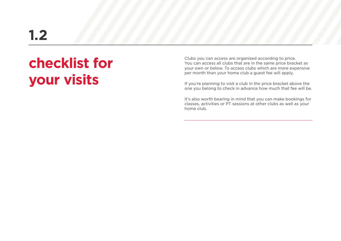#### **1.2**

#### **checklist for your visits**

Clubs you can access are organised according to price. You can access all clubs that are in the same price bracket as your own or below. To access clubs which are more expensive per month than your home club a guest fee will apply.

If you're planning to visit a club in the price bracket above the one you belong to check in advance how much that fee will be.

It's also worth bearing in mind that you can make bookings for classes, activities or PT sessions at other clubs as well as your home club.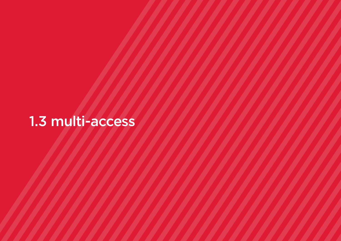#### 1.3 multi-access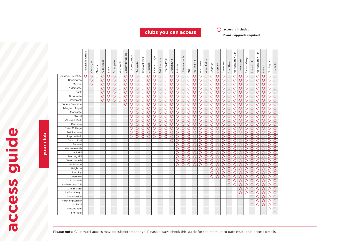**clubs you can access access and the clubs** 

**Blank - upgrade required**

|                           | Chiswick Riverside | Kensington | Mayfair | Aldersgate | Bank | Broadgate | Walbrook | Canary Riverside | Islington, Angel | Moorgate   | Chiswick Park  | Clapham | Swiss Cottage         | Twickenham            | Repton Park         | End<br>Crouch | Fulham | Hammersmith | Mill Hill | Ī<br>Notting | Wandsworth | Wimbledon | Brighton | Bromley    | Clearview | Streatham  | $\mathrel{\mathsf{a}}$<br>$\cup$<br>Northampton | Chelmsford     | Salford Quays         | Thundersley           | $\mathrel{\mathsf{a}}$<br>Northampton <sub>R</sub> | Solihull   | Nottingham | Sheffield             |
|---------------------------|--------------------|------------|---------|------------|------|-----------|----------|------------------|------------------|------------|----------------|---------|-----------------------|-----------------------|---------------------|---------------|--------|-------------|-----------|--------------|------------|-----------|----------|------------|-----------|------------|-------------------------------------------------|----------------|-----------------------|-----------------------|----------------------------------------------------|------------|------------|-----------------------|
| <b>Chiswick Riverside</b> | ∩                  | C          | С       | С          | О    | С         | С        | С                | $\bigcirc$       | $\bigcirc$ | $\bigcirc$     | С       | $\bigcirc$            | $\overline{\bigcirc}$ | $\circlearrowright$ | О             | О      | О           | Ο         | C            | С          | O         | О        | C          | С         | О          | $\bigcirc$                                      | $\bigcirc$     | С                     | $\overline{\text{C}}$ | $\bigcirc$                                         | О          | O          | $\overline{\bigcirc}$ |
| Kensington                |                    | $\bigcirc$ | С       | Ō          | Ο    | Ο         | C        | Ō                | $\bigcirc$       | $\bigcirc$ | Ō              | Ō       | Ó                     | Ō                     | O                   | Ο             | Ō      | O           | ∩         | O            | Ο          | Ō         | Ο        | Ō          | ∩         | Ō          | $\bigcirc$                                      | $\overline{O}$ | O                     | Ō                     | О                                                  | O          | O          | Ō                     |
| Mayfair                   |                    | $\circ$    | С       | С          | О    | С         | C        | С                | $\circ$          | $\bigcirc$ | O              | О       | $\bigcirc$            | O                     | O                   | Ω             | Ο      | Ο           | Ω         | С            | С          | O         | ◯        | С          | С         | O          | O                                               | $\bigcirc$     | C                     | О                     | О                                                  | О          | O          | Ο                     |
| Aldersgate                |                    |            |         | C          | O    | C         | С        | С                | $\circ$          | $\circ$    | C              | О       | O                     | О                     | О                   | ∩             | ∩      | ∩           | ◯         | C            | С          | Ο         | ∩        | С          | C         | O          | O                                               | O              | С                     | О                     | О                                                  | Ο          | О          | ∩                     |
| Bank                      |                    |            |         | C          | ◯    | Ο         | С        | C                | $\circ$          | $\bigcirc$ | $\overline{O}$ | Ó       | $\overline{\circ}$    | $\bigcirc$            | Ō                   | O             | Ο      | ∩           | ∩         | ◯            | ◯          | O         | ◯        | Ο          | ∩         | O          | Ō                                               | $\bigcirc$     | Ó                     | Ó                     | Ó                                                  | ○          | ◯          | ∩                     |
| Broadgate                 |                    |            |         | С          | О    | O         | С        | С                | $\circ$          | $\bigcirc$ | $\bigcirc$     | О       | $\bigcirc$            | Ō                     | $\circ$             | О             | O      | O           | O         | C            | С          | O         | O        | O          | Ο         | $\circ$    | O                                               | $\bigcirc$     | С                     | С                     | O                                                  | $\bigcirc$ | О          | О                     |
| Walbrook                  |                    |            |         | ◯          | ◯    | Ο         | С        | С                | $\circ$          | $\circ$    | Ō              | O       | Ō                     | O                     | О                   | ○             | ◯      | O           | ∩         | C            | ◯          | O         | ∩        | Ο          | C         | O          | Ο                                               | $\bigcirc$     | С                     | O                     | О                                                  | О          | O          | Ο                     |
| Canary Riverside          |                    |            |         |            |      |           |          | ∩                | $\bigcirc$       | $\bigcirc$ | $\overline{O}$ | О       | $\overline{\bigcirc}$ | O                     | Ō                   | О             | ◯      | ◯           | ∩         | C            | О          | O         | О        | О          | ∩         | О          | $\bigcirc$                                      | $\bigcirc$     | O                     | O                     | Ō                                                  | О          | O          | О                     |
| Islington, Angel          |                    |            |         |            |      |           |          |                  | $\circ$          | $\bigcirc$ | Ō              | O       | Ó                     | О                     | О                   | ∩             | О      | Ο           | ∩         | С            | С          | O         | Ο        | С          | С         | O          | O                                               | $\bigcirc$     | С                     | О                     | О                                                  | О          | О          | Ο                     |
| Moorgate                  |                    |            |         |            |      |           |          |                  | $\circ$          | $\bigcirc$ | $\bigcirc$     | O       | О                     | О                     | О                   | О             | О      | ∩           | ∩         | C            | С          | O         | ∩        | О          | С         | O          | O                                               | $\bigcirc$     | O                     | О                     | О                                                  | O          | О          | ∩                     |
| Strand                    |                    |            |         |            |      |           |          |                  | $\circ$          | $\bigcirc$ | $\bigcirc$     | О       | O                     | О                     | О                   | O             | О      | Ο           | Ο         | €            | С          | О         | О        | O          | С         | O          | O                                               | Ο              | Ć                     | С                     | О                                                  | О          | O          | Ο                     |
| Chiswick Park             |                    |            |         |            |      |           |          |                  | $\circ$          | $\circ$    | $\overline{O}$ | Ō       | $\overline{\bigcirc}$ | О                     | О                   | О             | О      | ◯           | ∩         | C            | С          | O         | О        | О          | С         | O          | О                                               | $\bigcirc$     | C                     | Ó                     | O                                                  | О          | O          | Ō                     |
| Clapham                   |                    |            |         |            |      |           |          |                  | $\circ$          | $\bigcirc$ | Ō              | О       | O                     | О                     | O                   | ∩             | ∩      | $\bigcirc$  | ∩         | $\bigcirc$   | ◯          | О         | Ο        | $\bigcirc$ | ∩         | O          | Ο                                               | $\bigcirc$     | O                     | О                     | О                                                  | $\bigcirc$ | О          | Ο                     |
| <b>Swiss Cottage</b>      |                    |            |         |            |      |           |          |                  | $\circ$          | $\bigcirc$ | O              | О       | О                     | О                     | О                   | ∩             | ∩      | Ω           | ∩         | C            | С          | О         | ∩        | C          | €         | ◯          | O                                               | О              | C                     | C                     | О                                                  | О          | О          | ∩                     |
| Twickenham                |                    |            |         |            |      |           |          |                  | $\circ$          | $\bigcirc$ | $\bigcirc$     | O       | O                     | О                     | О                   | O             | О      | Ο           | ◯         | C            | С          | O         | O        | ◯          | C         | О          | О                                               | $\bigcirc$     | С                     | O                     | О                                                  | О          | О          | С                     |
| Repton Park               |                    |            |         |            |      |           |          |                  | $\circ$          | $\bigcirc$ | Ō              | Ó       | Ō                     | $\overline{\bigcirc}$ | O                   | О             | О      | O           | Ω         | C            | С          | O         | Ο        | $\bigcirc$ | С         | O          | $\overline{O}$                                  | $\bigcirc$     | O                     | Ó                     | О                                                  | $\bigcirc$ | О          | Ō                     |
| Crouch End                |                    |            |         |            |      |           |          |                  |                  |            |                |         |                       |                       |                     | О             | О      | O           | $\circ$   | C            | С          | O         | O        | О          | О         | O          | O                                               | $\bigcirc$     | O                     | С                     | О                                                  | O          | О          | О                     |
| Fulham                    |                    |            |         |            |      |           |          |                  |                  |            |                |         |                       |                       |                     |               | Ο      | Ω           | C         | С            | C          | O         | Ο        | ∩          | С         | $\circ$    | O                                               | $\circ$        | С                     | О                     | О                                                  | О          | О          | Ο                     |
| Hammersmith               |                    |            |         |            |      |           |          |                  |                  |            |                |         |                       |                       |                     |               | ◯      | $\bigcirc$  | ∩         | $\bigcirc$   | ∩          | O         | О        | Ō          | ∩         | O          | O                                               | $\bigcirc$     | O                     | Ó                     | O                                                  | $\bigcirc$ | О          | $\bigcirc$            |
| Mill Hill                 |                    |            |         |            |      |           |          |                  |                  |            |                |         |                       |                       |                     |               | Ο      | Ο           | ∩         | €            | С          | О         | ∩        | С          | ◯         | ∩          | Ο                                               | Ο              | С                     | О                     | О                                                  | ○          | Ο          | ◯                     |
| Notting Hill              |                    |            |         |            |      |           |          |                  |                  |            |                |         |                       |                       |                     |               | O      | Ω           | ◯         | C            | С          | O         | O        | O          | C         | O          | O                                               | O              | С                     | О                     | О                                                  | О          | О          | ◯                     |
| Wandsworth                |                    |            |         |            |      |           |          |                  |                  |            |                |         |                       |                       |                     |               | Ο      | Ο           | ∩         | C            | С          | O         | Ο        | Ο          | ∩         | O          | $\bigcirc$                                      | $\bigcirc$     | $\overline{\bigcirc}$ | Ó                     | О                                                  | О          | О          | ∩                     |
| Wimbledon                 |                    |            |         |            |      |           |          |                  |                  |            |                |         |                       |                       |                     |               | О      | О           | О         | C            | С          | О         | О        | О          | O         | $\bigcirc$ | $\bigcirc$                                      | $\bigcirc$     | С                     | С                     | О                                                  | О          | O          | O                     |
| Brighton                  |                    |            |         |            |      |           |          |                  |                  |            |                |         |                       |                       |                     |               |        |             |           |              |            |           | O        | С          | С         | O          | О                                               | $\circ$        | С                     | С                     | О                                                  | О          | О          | Ο                     |
| Bromley                   |                    |            |         |            |      |           |          |                  |                  |            |                |         |                       |                       |                     |               |        |             |           |              |            |           | ◯        | O          | ∩         | O          | O                                               | $\bigcirc$     | $\overline{\bigcirc}$ | O                     | O                                                  | ◯          | ◯          | ∩                     |
| Clearview                 |                    |            |         |            |      |           |          |                  |                  |            |                |         |                       |                       |                     |               |        |             |           |              |            |           | O        | О          | С         | O          | O                                               | $\bigcirc$     | С                     | С                     | О                                                  | О          | O          | Ο                     |
| Streatham                 |                    |            |         |            |      |           |          |                  |                  |            |                |         |                       |                       |                     |               |        |             |           |              |            |           |          |            |           | O          | O                                               | $\bigcirc$     | С                     | O                     | О                                                  | О          | O          | Ο                     |
| Northampton C P           |                    |            |         |            |      |           |          |                  |                  |            |                |         |                       |                       |                     |               |        |             |           |              |            |           |          |            |           | ∩          | $\bigcirc$                                      | $\overline{O}$ | Ó                     | Ó                     | Ō                                                  | О          | O          | Ο                     |
| Chelmsford                |                    |            |         |            |      |           |          |                  |                  |            |                |         |                       |                       |                     |               |        |             |           |              |            |           |          |            |           |            |                                                 | $\bigcirc$     | С                     | C                     | О                                                  | O          | О          | O                     |
| Salford Quays             |                    |            |         |            |      |           |          |                  |                  |            |                |         |                       |                       |                     |               |        |             |           |              |            |           |          |            |           |            |                                                 | $\bigcirc$     | $\overline{O}$        | Ō                     | O                                                  | O          | O          | O                     |
| Thundersley               |                    |            |         |            |      |           |          |                  |                  |            |                |         |                       |                       |                     |               |        |             |           |              |            |           |          |            |           |            |                                                 |                |                       | С                     | О                                                  | О          | О          | ○                     |
| Northampton RP            |                    |            |         |            |      |           |          |                  |                  |            |                |         |                       |                       |                     |               |        |             |           |              |            |           |          |            |           |            |                                                 |                |                       | С                     | Ο                                                  | О          | О          | О                     |
| Solihull                  |                    |            |         |            |      |           |          |                  |                  |            |                |         |                       |                       |                     |               |        |             |           |              |            |           |          |            |           |            |                                                 |                |                       | О                     | О                                                  | $\bigcirc$ | О          | O                     |
| Nottingham                |                    |            |         |            |      |           |          |                  |                  |            |                |         |                       |                       |                     |               |        |             |           |              |            |           |          |            |           |            |                                                 |                |                       |                       |                                                    |            | О          | О                     |
| Sheffield                 |                    |            |         |            |      |           |          |                  |                  |            |                |         |                       |                       |                     |               |        |             |           |              |            |           |          |            |           |            |                                                 |                |                       |                       |                                                    |            |            | Ο                     |

your club **your club**

**access guide**

access guide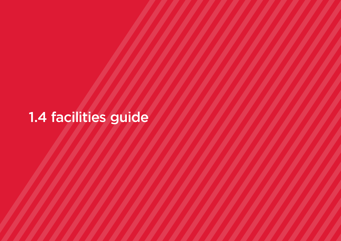## 1.4 facilities guide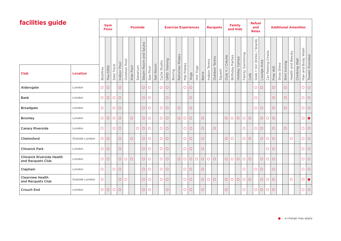| facilities guide                                      |                 |            | <b>Gvm</b><br><b>Floor</b> |            |             |              |           | <b>Poolside</b> |              |            |           |              |                      | <b>Exercise Experiences</b> |            |             |            |          |         |         | <b>Racquets</b> |        |                       | Family<br>and Kids |                |                 |                | <b>Refuel</b><br>and<br><b>Relax</b> |            |                |            |            |               |            | <b>Additional Amenities</b> |                    |                 |
|-------------------------------------------------------|-----------------|------------|----------------------------|------------|-------------|--------------|-----------|-----------------|--------------|------------|-----------|--------------|----------------------|-----------------------------|------------|-------------|------------|----------|---------|---------|-----------------|--------|-----------------------|--------------------|----------------|-----------------|----------------|--------------------------------------|------------|----------------|------------|------------|---------------|------------|-----------------------------|--------------------|-----------------|
|                                                       |                 |            |                            |            |             |              |           |                 | Sauna<br>and |            |           |              |                      |                             | Pilates    |             |            |          |         | Tennis  | Tennis          |        | Crèche                |                    | Camps          |                 |                | Snacks<br>Drinks/                    | Area       | Onsite         |            |            |               | Beauty     | Wall                        | Hair and Body Wash |                 |
| <b>Club</b>                                           | <b>Location</b> | Boditrax   | GRID<br>The                | Sled Track | Indoor Pool | Outdoor Pool | Kids Pool | Sanarium        | Steam Room   | Spa Pool   | Salt Room | Cycle Studio | <b>GRID Training</b> | Boxing                      | Reformer   | Mat Pilates | Yoga       | Hot Yoga | Barre   | Indoor  | Outdoor         | Squash | Club V                | Birthday Parties   | <b>Holiday</b> | Family Swimming | Café           | Go'<br>$\qquad \qquad +$<br>Grab     | Lounge     | Car Parking    | Free Wifi  | Shoe Shine | Shirt Ironing | Health and | Climbing                    |                    | Towels Provided |
| Aldersgate                                            | London          | $\circ$    | $\circ$                    |            | $\circ$     |              |           |                 | $\bigcirc$   | $\circ$    |           | $\circ$      | $\bigcirc$           |                             |            | $\circ$     | $\circ$    |          |         |         |                 |        |                       |                    |                |                 |                | $\bigcirc$                           | $\bigcirc$ |                | O          |            | $\bigcirc$    |            |                             | $\circ$            | $\circ$         |
| Bank                                                  | London          | $\circ$    | $\bigcirc$                 | $\circ$    | $\circ$     |              |           |                 | $\circ$      | $\circ$    |           |              | $\bigcirc$           |                             |            |             | $\circ$    |          |         |         |                 |        |                       |                    |                |                 |                | $\circ$                              |            |                | $\bigcirc$ |            | $\bigcirc$    |            |                             | $\circ$            | $\circ$         |
| <b>Broadgate</b>                                      | London          | $\circ$    |                            | $\circ$    | $\circ$     |              |           |                 | $\bigcirc$   | $\circ$    |           | $\circ$      | $\bigcirc$           |                             | $\bigcirc$ |             | $\circ$    |          |         |         |                 |        |                       |                    |                |                 |                | $\circ$                              | $\bigcirc$ |                | $\bigcirc$ |            | $\bigcirc$    |            |                             | $\circ$            | $\circ$         |
| <b>Bromley</b>                                        | London          | $\circ$    | $\circ$                    | $\circ$    | $\circ$     |              | $\circ$   |                 | $\bigcirc$   | $\circ$    |           | $\circ$      | $\bigcirc$           |                             | $\circ$    | $\circ$     | $\bigcirc$ |          | $\circ$ |         |                 |        | $\circ$               | $\bigcirc$         | $\circ$        | $\bigcirc$      | $\bigcirc$     |                                      | $\circ$    | О              | $\circ$    |            |               |            |                             | $\circ$            | $\bullet$       |
| <b>Canary Riverside</b>                               | London          | $\circ$    |                            | $\circ$    | $\circ$     |              |           | $\bigcirc$      | $\bigcirc$   | $\bigcirc$ |           | $\bigcirc$   | $\circ$              |                             |            | $\circ$     | $\bigcirc$ |          | $\circ$ |         | $\bigcirc$      |        |                       |                    |                | $\bigcirc$      |                | $\bigcirc$                           | $\bigcirc$ |                | $\bigcirc$ |            | $\bigcirc$    |            |                             | $\circ$            | $\circ$         |
| Chelmsford                                            | Outside London  |            | $\circ$ $\circ$            |            | $\circ$     |              | $\circ$   |                 | $\bigcirc$   | $\circ$    |           | $\circ$      | $\circ$              |                             |            | $\circ$     | $\circ$    |          | $\circ$ |         |                 |        | $\overline{\bigcirc}$ | $\circ$            |                | $\circ$         | $\overline{O}$ |                                      | $\bigcirc$ | $\circ$        | $\bigcirc$ |            |               | $\circ$    |                             | $\bigcirc$         | $\circ$         |
| <b>Chiswick Park</b>                                  | London          | $\circ$    | $\circ$                    |            | $\circ$     |              |           |                 | $\circ$      | $\circ$    |           | $\circ$      | $\circ$              |                             |            | $\circ$     | $\circ$    |          | $\circ$ |         |                 |        |                       |                    |                |                 |                |                                      |            | $\overline{O}$ | $\circ$    |            |               |            |                             | $\circ$            | $\circ$         |
| <b>Chiswick Riverside Health</b><br>and Racquets Club | London          | $\circ$    | $\circ$                    |            | $\circ$     | $\circ$      | $\circ$   |                 | $\bigcirc$   | $\circ$    |           | $\bigcirc$   | $\circ$              |                             | $\circ$    | $\circ$     | $\circ$    | $\circ$  | $\circ$ | $\circ$ | $\overline{O}$  |        | $\circ$               | $\bigcirc$         | $\bigcirc$     | $\bigcirc$      | $\bigcirc$     |                                      | $\bigcirc$ | $\bigcirc$     | $\circ$    |            |               |            |                             | $\circ$            | $\circ$         |
| Clapham                                               | London          | $\circ$    |                            | $\circ$    | $\circ$     |              |           |                 | $\circ$      | $\circ$    |           | $\circ$      | $\bigcirc$           |                             |            | $\circ$     | $\circ$    |          | $\circ$ |         |                 |        |                       |                    |                | $\bigcirc$      |                | $\circ$                              | $\bigcirc$ |                | О          |            |               |            |                             | $\circ$            | $\circ$         |
| <b>Clearview Health</b><br>and Racquets Club          | Outside London  | $\circ$    |                            |            | $\bigcirc$  | $\circ$      |           |                 | $\bigcirc$   | $\bigcirc$ |           | $\circ$      | $\bigcirc$           |                             |            | $\circ$     | $\circ$    |          | $\circ$ | $\circ$ | $\bigcirc$      |        | $\overline{O}$        | $\bigcirc$         | $\circ$        | $\bigcirc$      | $\overline{O}$ |                                      | $\bigcirc$ | O              | $\bigcirc$ |            |               | $\bigcirc$ |                             | $\circ$            | $\bullet$       |
| <b>Crouch End</b>                                     | London          | $\bigcirc$ | $\bigcirc$                 | $\circ$    | $\circ$     |              |           |                 | $\bigcirc$   | $\bigcirc$ |           |              | $\bigcirc$           |                             |            | $\bigcirc$  | $\circ$    |          | $\circ$ |         |                 |        | $\overline{\bigcirc}$ |                    |                | $\bigcirc$      |                | $\bigcirc$                           | $\bigcirc$ | $\circ$        | $\circ$    |            |               |            |                             | $\bigcirc$         | $\circ$         |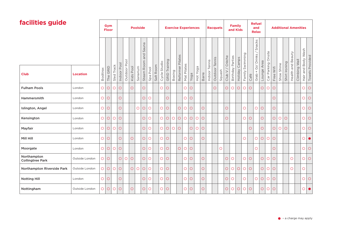#### **facilities guide**

| facilities guide                       |                 |            |             | Gym<br><b>Floor</b> |                |              |            | <b>Poolside</b> |              |                |           |              |                  |            |            |             | <b>Exercise Experiences</b> |            |            |        | <b>Racquets</b> |         |            |            | <b>Family</b><br>and Kids |            |            | <b>Refuel</b><br>and<br><b>Relax</b> |            |             |            |            |               | <b>Additional Amenities</b> |          |                    |                        |
|----------------------------------------|-----------------|------------|-------------|---------------------|----------------|--------------|------------|-----------------|--------------|----------------|-----------|--------------|------------------|------------|------------|-------------|-----------------------------|------------|------------|--------|-----------------|---------|------------|------------|---------------------------|------------|------------|--------------------------------------|------------|-------------|------------|------------|---------------|-----------------------------|----------|--------------------|------------------------|
|                                        |                 |            |             |                     |                |              |            |                 | Sauna<br>and |                |           |              |                  |            | Pilates    |             |                             |            |            | Tennis |                 |         | Crèche     | Parties    | Camps                     | Swimming   |            | Snacks<br>+ Go' Drinks               | Area       | Onsite      |            |            |               |                             | Wall     | Hair and Body Wash |                        |
| <b>Club</b>                            | <b>Location</b> | Boditrax   | GRID<br>The | Sled Track          | Pool<br>Indoor | Outdoor Pool | Kids Pool  | Sanarium        | Steam Room   | Spa Pool       | Salt Room | Cycle Studio | Training<br>GRID | Boxing     | Reformer   | Mat Pilates | Yoga                        | Hot Yoga   | Barre      | Indoor | Outdoor Tennis  | Squash  | $Club$ $V$ | Birthday   | Holiday                   | Family     | Café       | Grab.                                | Lounge     | Car Parking | Free Wifi  | Shoe Shine | Shirt Ironing | Health and Beauty           | Climbing |                    | <b>Towels Provided</b> |
| <b>Fulham Pools</b>                    | London          | $\circ$    | $\bigcirc$  | $\bigcirc$          | $\circ$        |              | О          |                 | O            |                |           | $\bigcirc$   | $\circ$          |            |            | $\bigcirc$  | $\circ$                     |            |            |        | $\circ$         |         | $\circ$    | $\circ$    | $\circ$                   | $\circ$    | $\bigcirc$ |                                      | $\circ$    | $\bigcirc$  | $\circ$    |            |               |                             |          | $\circ$            | $\circ$                |
| Hammersmith                            | London          | $\circ$    | $\bigcirc$  |                     | $\bigcirc$     |              |            |                 | $\bigcirc$   | $\bigcirc$     |           |              | $\bigcirc$       |            |            | $\circ$     | $\circ$                     |            |            |        |                 |         |            |            |                           |            |            |                                      |            |             | $\bigcirc$ |            |               |                             |          | $\bigcirc$         | $\circ$                |
| Islington, Angel                       | London          | $\circ$    | $\circ$     |                     | $\circ$        |              |            | $\circ$         | $\circ$      | $\circ$        |           | $\circ$      | $\circ$          |            | $\bigcirc$ | $\circ$     | $\circ$                     |            | $\circ$    |        |                 |         | $\circ$    |            |                           | $\circ$    |            | $\circ$                              | $\circ$    |             | $\circ$    |            |               |                             |          | $O$ $O$            |                        |
| Kensington                             | London          | $\circ$    | $\bigcirc$  | $\bigcirc$          | $\circ$        |              |            |                 | $\circ$      | $\circ$        |           | $\circ$      | $\circ$          | $\bigcirc$ | $\bigcirc$ | $\bigcirc$  | $\bigcirc$                  | $\bigcirc$ | $\bigcirc$ |        |                 |         | $\circ$    |            |                           | $\circ$    | $\circ$    |                                      | $\circ$    |             | $\circ$    | $\circ$    | $\circ$       |                             |          | $O$ $O$            |                        |
| Mayfair                                | London          | $\circ$    | $\bigcirc$  | $\circ$             | $\bigcirc$     |              |            |                 | $\bigcirc$   | $\bigcirc$     |           | $\bigcirc$   | $\bigcirc$       | $\bigcirc$ | $\bigcirc$ |             | $\bigcirc$                  | $\bigcirc$ | $\bigcirc$ |        |                 |         |            |            |                           |            | $\bigcirc$ |                                      | $\bigcirc$ |             | $\circ$    | $\circ$    | $\circ$       |                             |          | $\bigcirc$         | $\circ$                |
| Mill Hill                              | London          | $\circ$    | $\bigcirc$  |                     | $\circ$        |              | $\circ$    |                 | $\circ$      | $\circ$        |           | $\circ$      | $\circ$          |            |            | $\bigcirc$  | $\bigcirc$                  |            | $\circ$    |        |                 |         |            |            |                           | $\circ$    |            | $\circ$                              | $\circ$    | $\circ$     | $\circ$    |            |               |                             |          | $\circ\bullet$     |                        |
| Moorgate                               | London          | $\circ$    | $\bigcirc$  | $\circ$             | $\circ$        |              |            |                 | $\bigcirc$   | $\overline{O}$ |           | $\bigcirc$   | $\circ$          |            | $\circ$    | $\bigcirc$  | $\circ$                     |            |            |        |                 | $\circ$ |            |            |                           |            |            | $\circ$                              |            |             | $\circ$    |            |               |                             |          | $\bigcirc$         | $\circ$                |
| Northampton<br><b>Collingtree Park</b> | Outside London  | $\circ$    | $\bigcirc$  |                     | $\circ$        | $\circ$      | $\bigcirc$ |                 | $\circ$      | $\overline{O}$ |           | $\bigcirc$   | $\circ$          |            |            | $\circ$     | $\circ$                     |            | $\bigcirc$ |        |                 |         | $\bigcirc$ | $\circ$    |                           | $\bigcirc$ | $\bigcirc$ |                                      | $\bigcirc$ | $\circ$     | $\bigcirc$ |            |               | $\circ$                     |          | $\circ$            | $\circ$                |
| Northampton Riverside Park             | Outside London  | $\circ$    | $\bigcirc$  | $\circ$             | $\circ$        |              | $\circ$    | $\circ$         | $\bigcirc$   | $\bigcirc$     |           | $\circ$      | $\circ$          |            |            | $\circ$     | $\bigcirc$                  |            | $\bigcirc$ |        |                 |         | $\circ$    | $\circ$    | $\bigcirc$                | $\circ$    | $\circ$    |                                      | $\circ$    | $\circ$     | $\circ$    |            |               | $\circ$                     |          | $\circ$            |                        |
| <b>Notting Hill</b>                    | London          | $\bigcirc$ | $\bigcirc$  |                     | $\circ$        |              |            |                 | $\bigcirc$   | $\bigcirc$     |           | $\bigcirc$   | $\circ$          |            |            | $\bigcirc$  | $\bigcirc$                  |            | $\bigcirc$ |        |                 |         | $\bigcirc$ | $\bigcirc$ |                           | $\circ$    |            | $\bigcirc$                           | $\bigcirc$ | $\bigcirc$  | $\circ$    |            |               |                             |          | $\circ$            | $\circ$                |
| Nottingham                             | Outside London  | $\circ$    | $\circ$     | $\circ$             | $\bigcirc$     |              | Ο          |                 | O            | Ο              |           | $\bigcirc$   | $\circ$          |            |            | $\circ$     | $\circ$                     |            | $\circ$    |        |                 |         | $\circ$    | $\circ$    | $\circ$                   | $\circ$    | $\circ$    |                                      | $\circ$    | $\circ$     | $\bigcirc$ |            |               |                             |          | $\circ$            | $\bullet$              |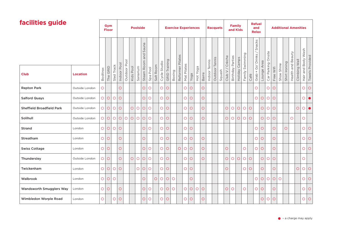| facilities guide                 |                 |            | Gym<br><b>Floor</b> |            |             |              |              | <b>Poolside</b> |              |                          |           |                | <b>Exercise Experiences</b> |            |          |             |         |            |            |        | <b>Racquets</b> |        |            | <b>Family</b> | and Kids   |          |            | <b>Refuel</b><br>and<br><b>Relax</b> |            |             |           | <b>Additional Amenities</b> |                   |            |                    |                        |
|----------------------------------|-----------------|------------|---------------------|------------|-------------|--------------|--------------|-----------------|--------------|--------------------------|-----------|----------------|-----------------------------|------------|----------|-------------|---------|------------|------------|--------|-----------------|--------|------------|---------------|------------|----------|------------|--------------------------------------|------------|-------------|-----------|-----------------------------|-------------------|------------|--------------------|------------------------|
|                                  |                 |            |                     |            |             |              |              |                 | Sauna<br>and |                          |           |                |                             |            | Pilates  |             |         |            |            | Tennis | Tennis          |        | Crèche     | Parties       | Camps      | Swimming |            | Snacks<br>Go' Drinks /               | Area       | Onsite      |           |                             |                   | Wall       | Hair and Body Wash |                        |
| <b>Club</b>                      | <b>Location</b> | Boditrax   | GRID<br>The         | Sled Track | Indoor Pool | Outdoor Pool | Pool<br>Kids | Sanarium        | Steam Room   | Spa Pool                 | Salt Room | Cycle Studio   | Training<br>GRID            | Boxing     | Reformer | Mat Pilates | Yoga    | Hot Yoga   | Barre      | Indoor | Outdoor         | Squash | $Club$ V   | Birthday      | Holiday    | Family   | Café       | $\boldsymbol{+}$<br>Grab             | Lounge     | Car Parking | Free Wifi | Shirt Ironing<br>Shoe Shine | Health and Beauty | Climbing   |                    | <b>Towels Provided</b> |
| <b>Repton Park</b>               | Outside London  | $\circ$    |                     |            | $\bigcirc$  |              |              |                 | $\bigcirc$   | $\circ$                  |           | $\overline{O}$ | $\circ$                     |            |          | $\circ$     | $\circ$ |            | $\bigcirc$ |        |                 |        |            |               |            |          |            | $\circ$                              |            | $\circ$     | $\circ$   |                             |                   |            | $\bigcirc$         | $\bigcirc$             |
| <b>Salford Quays</b>             | Outside London  | $\circ$    | $\bigcirc$          | $\bigcirc$ | $\bigcirc$  |              |              |                 | $\bigcirc$   | $\bigcirc$               |           | $\bigcirc$     | $\circ$                     |            |          | $\circ$     | $\circ$ |            | $\bigcirc$ |        |                 |        |            |               |            |          |            | $\bigcirc$                           | $\circ$    | $\circ$     | $\circ$   |                             |                   |            | $\circ$            | $\bullet$              |
| <b>Sheffield Broadfield Park</b> | Outside London  | $\circ$    | $\circ$             | $\bigcirc$ | $\bigcirc$  |              | $\circ$      | $\bigcirc$      | $\bigcirc$   | $\bigcirc$               |           | $\bigcirc$     | $\circ$                     |            |          | $\circ$     | $\circ$ |            | $\bigcirc$ |        |                 |        | $\bigcirc$ | $\bigcirc$    | $\bigcirc$ | $\circ$  | $\bigcirc$ |                                      | $\bigcirc$ | $\circ$     | $\circ$   |                             |                   | $\bigcirc$ | $\circ$            | $\bullet$              |
| Solihull                         | Outside London  | $\circ$    | $\circ$             | $\circ$    | $\circ$     | $\circ$      | $\bigcirc$   | $\circ$         | $\circ$      | $\circ$                  |           | $\circ$        | $\circ$                     |            |          | $\circ$     | $\circ$ |            | $\circ$    |        |                 |        | $\circ$    | $\circ$       | $\circ$    | $\circ$  | $\circ$    |                                      | $\circ$    | $\circ$     | $\circ$   |                             | $\circ$           |            | $\circ$            |                        |
| <b>Strand</b>                    | London          | $\circ$    | $\bigcirc$          | $\circ$    | $\circ$     |              |              |                 | $\circ$      | $\circ$                  |           | $\circ$        | $\circ$                     |            |          | $\circ$     | $\circ$ |            |            |        |                 |        |            |               |            |          |            | $\circ$                              | $\circ$    |             | $\circ$   | $\circ$                     |                   |            | $\circ$            | $\circ$                |
| Streatham                        | London          | $\circ$    | $\circ$             |            | $\bigcirc$  |              |              |                 | O            |                          |           | $\circ$        | $\circ$                     |            |          | $\circ$     | $\circ$ |            | $\bigcirc$ |        |                 |        |            |               |            |          |            | $\circ$                              | $\circ$    |             | $\circ$   |                             |                   |            | $\bigcirc$         | $\circ$                |
| <b>Swiss Cottage</b>             | London          | $\circ$    | $\circ$             |            | $\bigcirc$  |              |              |                 | $\bigcirc$   | $\overline{\mathcal{O}}$ |           | $\circ$        | $\circ$                     |            | $\circ$  | $\bigcirc$  | $\circ$ |            | $\bigcirc$ |        |                 |        | $\bigcirc$ |               |            | $\circ$  |            | $\circ$                              | $\circ$    |             | $\circ$   |                             |                   |            | $\circ$            | $\circ$                |
| Thundersley                      | Outside London  | $\circ$    | $\circ$             |            | $\circ$     |              | $\circ$      | $\bigcirc$      | $\bigcirc$   | $\circ$                  |           | O              | $\circ$                     |            |          | $\bigcirc$  | $\circ$ |            | $\circ$    |        |                 |        | $\circ$    | $\circ$       | $\circ$    | $\circ$  | $\circ$    |                                      | $\circ$    | $\circ$     | $\circ$   |                             |                   |            | $\bigcirc$         |                        |
| Twickenham                       | London          | $\circ$    | $\bigcirc$          | $\circ$    | $\circ$     |              |              | $\circ$         | $\circ$      | $\bigcirc$               |           | $\circ$        | $\bigcirc$                  |            |          | $\circ$     | $\circ$ |            |            |        |                 |        | $\circ$    |               |            | $\circ$  | $\circ$    |                                      | $\circ$    |             | $\circ$   |                             |                   | $\circ$    | $\circ$            | $\circ$                |
| Walbrook                         | London          | $\circ$    | $\bigcirc$          | $\bigcirc$ |             |              |              |                 | $\circ$      |                          | O         | $\bigcirc$     | $\circ$                     | $\circ$    |          |             | $\circ$ |            |            |        |                 |        |            |               |            |          |            | $\circ$                              | $\circ$    | $\circ$     | $\circ$   | $\circ$                     |                   |            | $\bigcirc$         | $\bigcirc$             |
| Wandsworth Smugglers Way         | London          | $\bigcirc$ | $\bigcirc$          |            | $\bigcirc$  |              |              |                 | $\bigcirc$   | $\bigcirc$               |           | $\circ$        | $\bigcirc$                  | $\bigcirc$ |          | $\bigcirc$  | $\circ$ | $\bigcirc$ | $\bigcirc$ |        |                 |        | $\bigcirc$ | $\circ$       |            | $\circ$  |            | $\bigcirc$                           | $\circ$    |             | $\circ$   |                             |                   |            | $\bigcirc$         | $\circ$                |
| Wimbledon Worple Road            | London          | $\bigcirc$ |                     | $\bigcirc$ | $\bigcirc$  |              |              |                 | $\bigcirc$   | $\bigcirc$               |           | $\circ$        | $\circ$                     |            |          | $\bigcirc$  | $\circ$ |            | $\bigcirc$ |        |                 |        |            |               |            |          |            |                                      | $\circ$    | $\bigcirc$  | $\circ$   |                             |                   |            | $\bigcirc$         | $\circ$                |

┯

┯